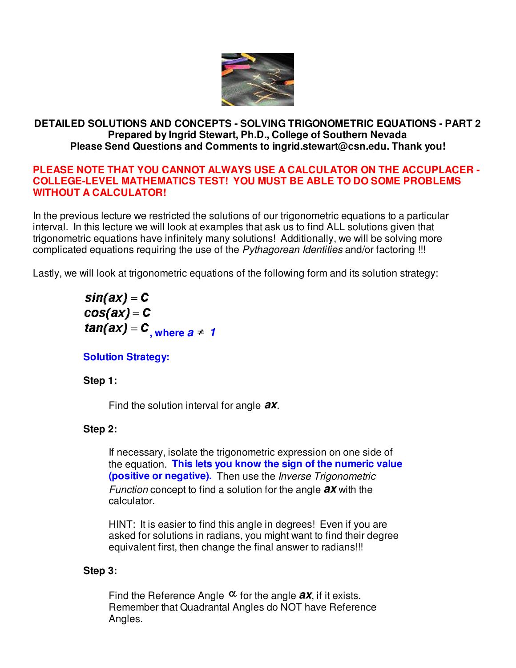

## **DETAILED SOLUTIONS AND CONCEPTS - SOLVING TRIGONOMETRIC EQUATIONS - PART 2 Prepared by Ingrid Stewart, Ph.D., College of Southern Nevada Please Send Questions and Comments to ingrid.stewart@csn.edu. Thank you!**

#### **PLEASE NOTE THAT YOU CANNOT ALWAYS USE A CALCULATOR ON THE ACCUPLACER - COLLEGE-LEVEL MATHEMATICS TEST! YOU MUST BE ABLE TO DO SOME PROBLEMS WITHOUT A CALCULATOR!**

In the previous lecture we restricted the solutions of our trigonometric equations to a particular interval. In this lecture we will look at examples that ask us to find ALL solutions given that trigonometric equations have infinitely many solutions! Additionally, we will be solving more complicated equations requiring the use of the Pythagorean Identities and/or factoring !!!

Lastly, we will look at trigonometric equations of the following form and its solution strategy:

 $sin(ax) = C$  $cos(ax) = C$  $tan(ax) = C$ , where  $a = 1$ 

## **Solution Strategy:**

#### **Step 1:**

Find the solution interval for angle **ax**.

#### **Step 2:**

If necessary, isolate the trigonometric expression on one side of the equation. **This lets you know the sign of the numeric value (positive or negative).** Then use the Inverse Trigonometric Function concept to find a solution for the angle **ax** with the calculator.

HINT: It is easier to find this angle in degrees! Even if you are asked for solutions in radians, you might want to find their degree equivalent first, then change the final answer to radians!!!

#### **Step 3:**

Find the Reference Angle  $\alpha$  for the angle **ax**, if it exists. Remember that Quadrantal Angles do NOT have Reference Angles.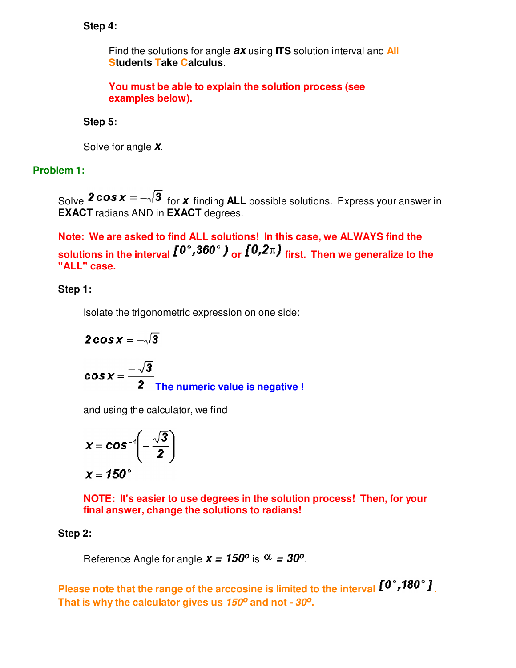## **Step 4:**

Find the solutions for angle **ax** using **ITS** solution interval and **All Students Take Calculus**.

**You must be able to explain the solution process (see examples below).**

## **Step 5:**

Solve for angle **x**.

## **Problem 1:**

Solve  $2 \cos x = -\sqrt{3}$  for **x** finding ALL possible solutions. Express your answer in **EXACT** radians AND in **EXACT** degrees.

**Note: We are asked to find ALL solutions! In this case, we ALWAYS find the**  solutions in the interval  $I^{0^{\circ},360^{\circ}}$ ) or  $I^{0,2\pi}$  first. Then we generalize to the **"ALL" case.**

## **Step 1:**

Isolate the trigonometric expression on one side:

$$
2\cos x = -\sqrt{3}
$$
  

$$
\cos x = \frac{-\sqrt{3}}{2}
$$
  
The numeric value is negative !

and using the calculator, we find

$$
x = \cos^{-1}\left(-\frac{\sqrt{3}}{2}\right)
$$

$$
x = 150^{\circ}
$$

**NOTE: It's easier to use degrees in the solution process! Then, for your final answer, change the solutions to radians!**

## **Step 2:**

Reference Angle for angle  $x = 150^{\circ}$  is  $\alpha = 30^{\circ}$ .

Please note that the range of the arccosine is limited to the interval  $I^{\sigma^{\circ}}$ , **180**°  $I$ <sub>.</sub> **That is why the calculator gives us 150<sup>o</sup> and not - 30<sup>o</sup> .**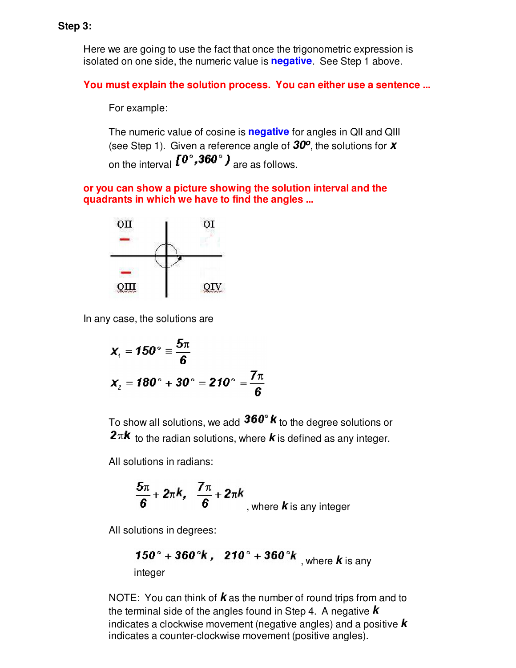Here we are going to use the fact that once the trigonometric expression is isolated on one side, the numeric value is **negative**. See Step 1 above.

**You must explain the solution process. You can either use a sentence ...**

For example:

The numeric value of cosine is **negative** for angles in QII and QIII (see Step 1). Given a reference angle of **30<sup>o</sup>** , the solutions for **x** on the interval  $I^{0^{\circ}, 360^{\circ}}$  are as follows.

**or you can show a picture showing the solution interval and the quadrants in which we have to find the angles ...**



In any case, the solutions are

$$
x_{\rm r} = 150^{\circ} \equiv \frac{5\pi}{6}
$$
  

$$
x_{\rm r} = 180^{\circ} + 30^{\circ} = 210^{\circ} \equiv \frac{7\pi}{6}
$$

To show all solutions, we add  $360^\circ \kappa$  to the degree solutions or  $2\pi k$  to the radian solutions, where  $k$  is defined as any integer.

All solutions in radians:

$$
\frac{5\pi}{6} + 2\pi k, \quad \frac{7\pi}{6} + 2\pi k
$$
, where **k** is any integer

All solutions in degrees:

**150° + 360°k**, 
$$
210° + 360°k
$$
, where **k** is any integer

NOTE: You can think of **k** as the number of round trips from and to the terminal side of the angles found in Step 4. A negative **k** indicates a clockwise movement (negative angles) and a positive **k** indicates a counter-clockwise movement (positive angles).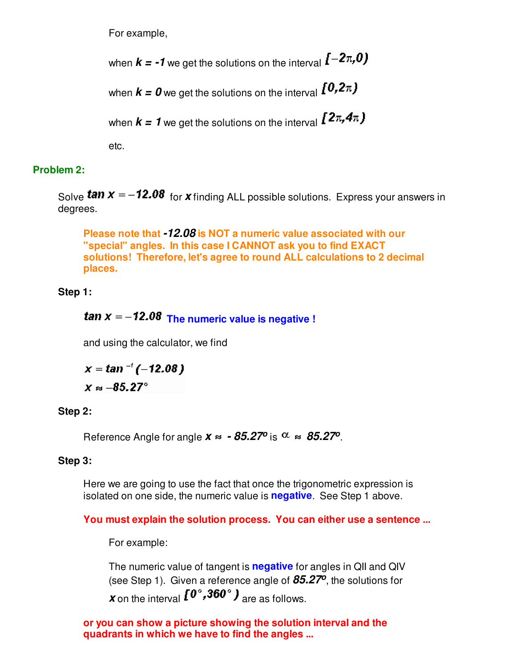For example,

when  $k = -1$  we get the solutions on the interval  $[-2\pi, 0]$ 

when  $k = 0$  we get the solutions on the interval  $[0, 2\pi)$ 

when  $k = 1$  we get the solutions on the interval  $\sqrt{2\pi/4\pi}$ 

etc.

## **Problem 2:**

Solve **tan**  $x = -12.08$  for **x** finding ALL possible solutions. Express your answers in degrees.

**Please note that -12.08 is NOT a numeric value associated with our "special" angles. In this case I CANNOT ask you to find EXACT solutions! Therefore, let's agree to round ALL calculations to 2 decimal places.**

## **Step 1:**

# **tan**  $x = -12.08$  The numeric value is negative !

and using the calculator, we find

$$
x = \tan^{-1}(-12.08)
$$

 $X \approx -85.27^\circ$ 

## **Step 2:**

Reference Angle for angle  $x \approx -85.27^{\circ}$  is  $\alpha \approx 85.27^{\circ}$ .

## **Step 3:**

Here we are going to use the fact that once the trigonometric expression is isolated on one side, the numeric value is **negative**. See Step 1 above.

## **You must explain the solution process. You can either use a sentence ...**

For example:

The numeric value of tangent is **negative** for angles in QII and QIV (see Step 1). Given a reference angle of **85.27<sup>o</sup>** , the solutions for *x* on the interval  $I^{\mathbf{0}^{\circ}}, 360^{\circ}$  **)** are as follows.

**or you can show a picture showing the solution interval and the quadrants in which we have to find the angles ...**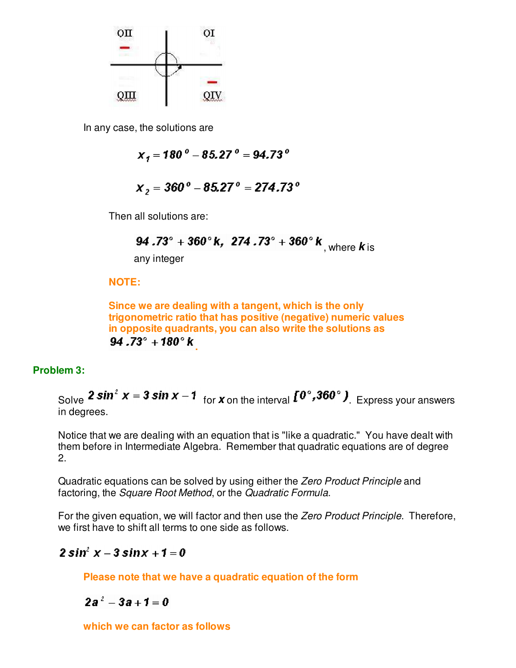

In any case, the solutions are

 $X_1 = 180^{\circ} - 85.27^{\circ} = 94.73^{\circ}$ 

$$
X_2 = 360^{\circ} - 85.27^{\circ} = 274.73^{\circ}
$$

Then all solutions are:

**94.73° + 360° k, 274.73° + 360° k**, where **k** is

any integer

#### **NOTE:**

**Since we are dealing with a tangent, which is the only trigonometric ratio that has positive (negative) numeric values in opposite quadrants, you can also write the solutions as**   $94.73^{\circ} + 180^{\circ}$  k

#### **Problem 3:**

Solve **2 sin<sup>2</sup>**  $x = 3 \sin x - 1$  for **x** on the interval  $\left[0^\circ, 360^\circ\right)$ . Express your answers in degrees.

Notice that we are dealing with an equation that is "like a quadratic." You have dealt with them before in Intermediate Algebra. Remember that quadratic equations are of degree 2.

Quadratic equations can be solved by using either the Zero Product Principle and factoring, the Square Root Method, or the Quadratic Formula.

For the given equation, we will factor and then use the Zero Product Principle. Therefore, we first have to shift all terms to one side as follows.

## $2 \sin^2 x - 3 \sin x + 1 = 0$

**Please note that we have a quadratic equation of the form** 

 $2a^2 - 3a + 1 = 0$ 

**which we can factor as follows**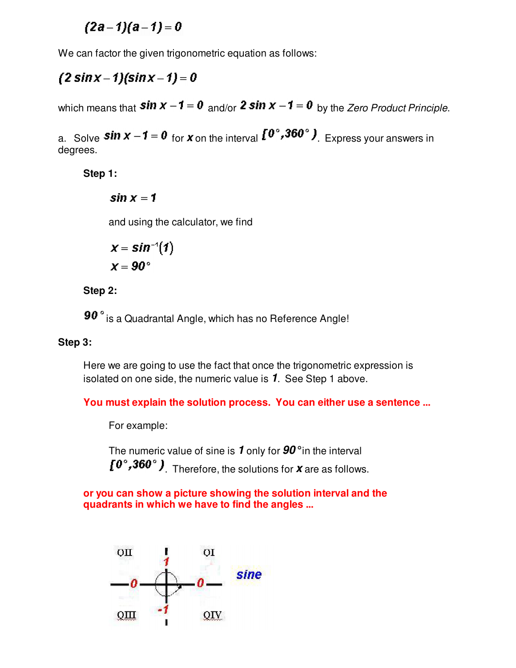$(2a-1)(a-1)=0$ 

We can factor the given trigonometric equation as follows:

## $(2 \sin x - 1)(\sin x - 1) = 0$

which means that  $\sin x - 1 = 0$  and/or 2 sin  $x - 1 = 0$  by the Zero Product Principle.

a. Solve **sin**  $x - 1 = 0$  for **x** on the interval  $\left[0^\circ, 360^\circ\right)$ . Express your answers in degrees.

**Step 1:**

 $sin x = 1$ 

and using the calculator, we find

$$
x = \sin^{-1}(1)
$$

$$
x = 90^{\circ}
$$

**Step 2:**

90° is a Quadrantal Angle, which has no Reference Angle!

## **Step 3:**

Here we are going to use the fact that once the trigonometric expression is isolated on one side, the numeric value is **1**. See Step 1 above.

## **You must explain the solution process. You can either use a sentence ...**

For example:

The numeric value of sine is **1** only for **90°** in the interval . Therefore, the solutions for **x** are as follows.

## **or you can show a picture showing the solution interval and the quadrants in which we have to find the angles ...**

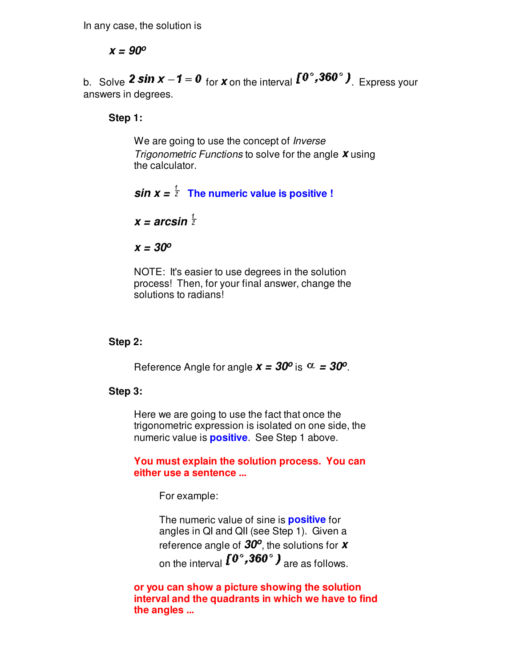In any case, the solution is

**x = 90<sup>o</sup>**

b. Solve **2 sin**  $x - 1 = 0$  for **x** on the interval  $\begin{bmatrix} 0^\circ, 360^\circ \end{bmatrix}$ . Express your answers in degrees.

**Step 1:**

We are going to use the concept of *Inverse* Trigonometric Functions to solve for the angle **x** using the calculator.

 $sin x = \frac{1}{2}$  The numeric value is positive !

 $x = \arcsin \frac{1}{2}$ 

**x = 30<sup>o</sup>**

NOTE: It's easier to use degrees in the solution process! Then, for your final answer, change the solutions to radians!

#### **Step 2:**

Reference Angle for angle  $x = 30^{\circ}$  is  $\alpha = 30^{\circ}$ .

#### **Step 3:**

Here we are going to use the fact that once the trigonometric expression is isolated on one side, the numeric value is **positive**. See Step 1 above.

**You must explain the solution process. You can either use a sentence ...**

For example:

The numeric value of sine is **positive** for angles in QI and QII (see Step 1). Given a reference angle of **30<sup>o</sup>** , the solutions for **x** on the interval  $I^{0^{\circ}, 360^{\circ}}$  are as follows.

**or you can show a picture showing the solution interval and the quadrants in which we have to find the angles ...**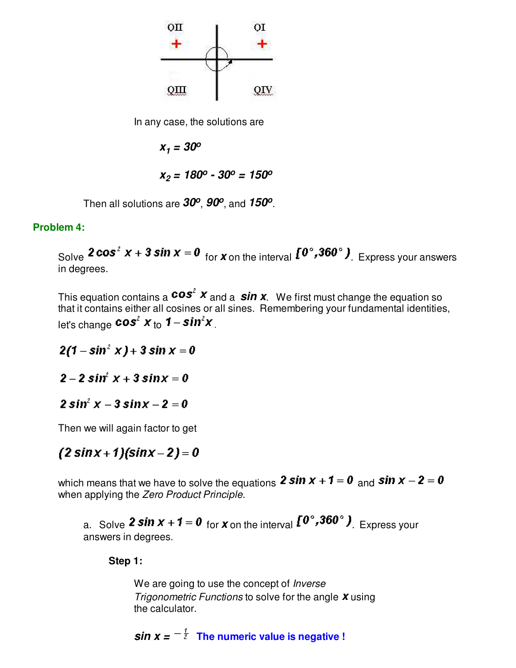

In any case, the solutions are

 $x_1 = 30^{\circ}$ 

$$
x_2 = 180^{\circ} - 30^{\circ} = 150^{\circ}
$$

Then all solutions are **30<sup>o</sup>** , **90<sup>o</sup>** , and **150<sup>o</sup>** .

#### **Problem 4:**

Solve **2 cos<sup>2</sup>**  $x + 3 \sin x = 0$  for **x** on the interval  $\left[0^\circ, 360^\circ\right)$ . Express your answers in degrees.

This equation contains a  $cos<sup>2</sup> x$  and a  $sin x$ . We first must change the equation so that it contains either all cosines or all sines. Remembering your fundamental identities, let's change  $cos^2$   $x_{\text{ to }}$  1 –  $sin^2$  $x_{\text{ in }}$ 

 $2(1 - \sin^2 x) + 3 \sin x = 0$ 

 $2 - 2 \sin^2 x + 3 \sin x = 0$ 

 $2 \sin^2 x - 3 \sin x - 2 = 0$ 

Then we will again factor to get

## $(2 \sin x + 1)(\sin x - 2) = 0$

which means that we have to solve the equations 2 sin  $x + 1 = 0$  and sin  $x - 2 = 0$ when applying the Zero Product Principle.

a. Solve **2 sin**  $x + 1 = 0$  for **x** on the interval  $\left[0^\circ, 360^\circ\right)$ . Express your answers in degrees.

#### **Step 1:**

We are going to use the concept of *Inverse* Trigonometric Functions to solve for the angle **x** using the calculator.

*sin x =* $-\frac{1}{2}$  **The numeric value is negative !**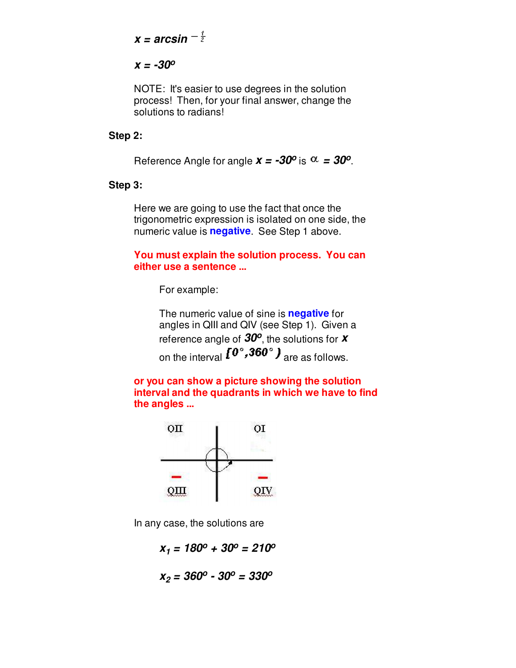$$
x = \arcsin^{-\frac{1}{2}}
$$

#### **x = -30<sup>o</sup>**

NOTE: It's easier to use degrees in the solution process! Then, for your final answer, change the solutions to radians!

#### **Step 2:**

Reference Angle for angle  $x = -30^\circ$  is  $\alpha = 30^\circ$ .

#### **Step 3:**

Here we are going to use the fact that once the trigonometric expression is isolated on one side, the numeric value is **negative**. See Step 1 above.

#### **You must explain the solution process. You can either use a sentence ...**

For example:

The numeric value of sine is **negative** for angles in QIII and QIV (see Step 1). Given a reference angle of **30<sup>o</sup>** , the solutions for **x** on the interval  $I^{0^{\circ}, 360^{\circ}}$  are as follows.

**or you can show a picture showing the solution interval and the quadrants in which we have to find the angles ...**



In any case, the solutions are

$$
x_1 = 180^{\circ} + 30^{\circ} = 210^{\circ}
$$

$$
x_2 = 360^o - 30^o = 330^o
$$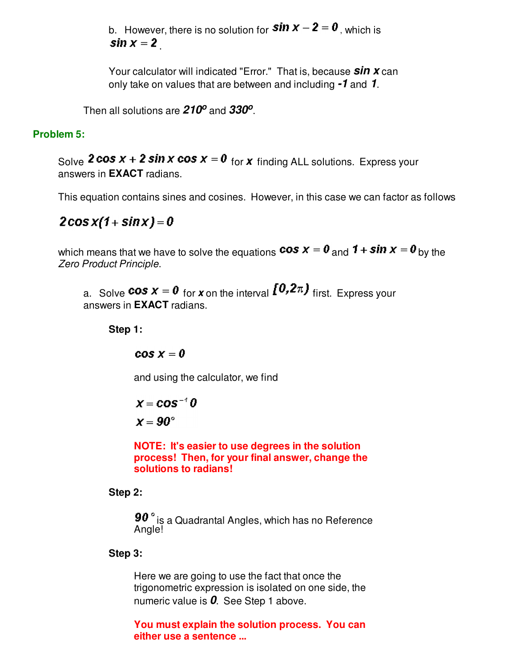b. However, there is no solution for  $sin x - 2 = 0$ , which is sin  $x = 2$ 

Your calculator will indicated "Error." That is, because **sin x** can only take on values that are between and including **-1** and **1**.

Then all solutions are **210<sup>o</sup>** and **330<sup>o</sup>** .

## **Problem 5:**

Solve **2 cos**  $x + 2 \sin x \cos x = 0$  for **x** finding ALL solutions. Express your answers in **EXACT** radians.

This equation contains sines and cosines. However, in this case we can factor as follows

 $2\cos x(1 + \sin x) = 0$ 

which means that we have to solve the equations  $\cos x = 0$  and  $1 + \sin x = 0$  by the Zero Product Principle.

a. Solve **cos**  $x = 0$  for **x** on the interval  $\{0, 2\pi\}$  first. Express your answers in **EXACT** radians.

#### **Step 1:**

 $cos x = 0$ 

and using the calculator, we find

$$
x = \cos^{-1} 0
$$

 $x = 90^{\circ}$ 

**NOTE: It's easier to use degrees in the solution process! Then, for your final answer, change the solutions to radians!**

**Step 2:**

90° is a Quadrantal Angles, which has no Reference Angle!

#### **Step 3:**

Here we are going to use the fact that once the trigonometric expression is isolated on one side, the numeric value is **0**. See Step 1 above.

**You must explain the solution process. You can either use a sentence ...**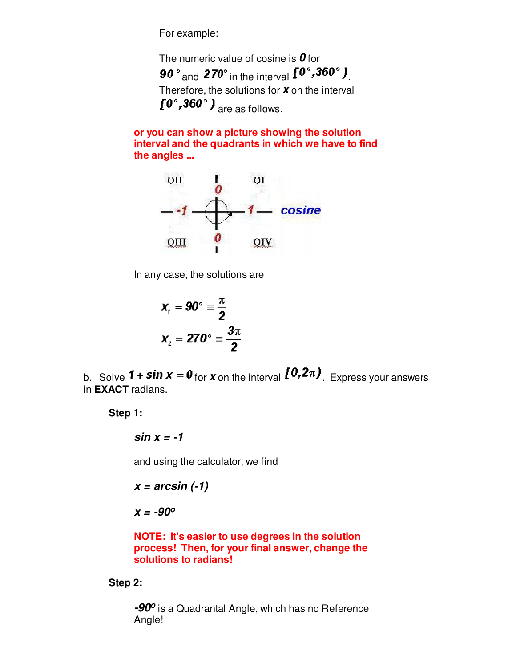For example:

The numeric value of cosine is **0** for 90 $^{\circ}$  and 270 $^{\circ}$  in the interval  $I^{0^{\circ}, 360^{\circ}}$ ). Therefore, the solutions for **x** on the interval  $[0^\circ, 360^\circ)$  are as follows.

**or you can show a picture showing the solution interval and the quadrants in which we have to find the angles ...**



In any case, the solutions are

$$
x_{1} = 90^{\circ} \equiv \frac{\pi}{2}
$$

$$
x_{2} = 270^{\circ} \equiv \frac{3\pi}{2}
$$

b. Solve **1 + sin**  $x = 0$  for **x** on the interval  $\left[0, 2\pi\right)$ . Express your answers in **EXACT** radians.

**Step 1:**

**sin x = -1**

and using the calculator, we find

$$
x = \arcsin(-1)
$$

**x = -90<sup>o</sup>**

**NOTE: It's easier to use degrees in the solution process! Then, for your final answer, change the solutions to radians!**

#### **Step 2:**

**-90<sup>o</sup>** is a Quadrantal Angle, which has no Reference Angle!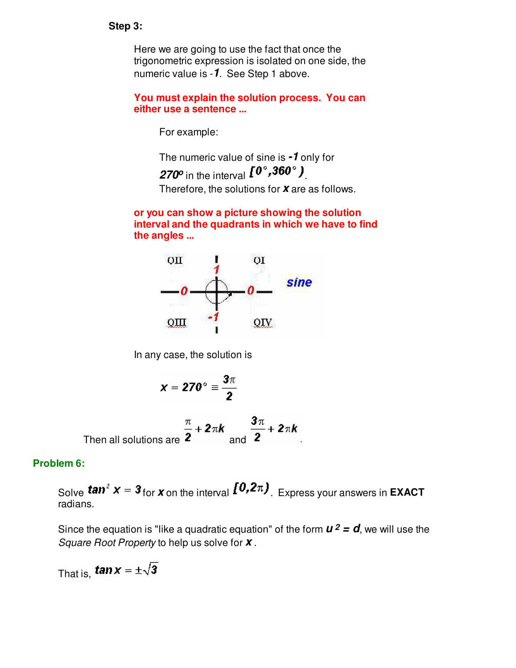#### **Step 3:**

Here we are going to use the fact that once the trigonometric expression is isolated on one side, the numeric value is -**1**. See Step 1 above.

**You must explain the solution process. You can either use a sentence ...**

For example:

The numeric value of sine is **-1** only for

270<sup> $\sigma$ </sup> in the interval  $l^{\sigma}$ , **300**<sup> $\sigma$ </sup>.

Therefore, the solutions for **x** are as follows.

**or you can show a picture showing the solution interval and the quadrants in which we have to find the angles ...**



In any case, the solution is

$$
x=270^{\circ}\equiv\frac{3\pi}{2}
$$

Then all solutions are 
$$
\frac{\pi}{2} + 2\pi k
$$
 and 
$$
\frac{3\pi}{2} + 2\pi k
$$
.

#### **Problem 6:**

Solve **tan**<sup>2</sup>  $x = 3$  for  $x$  on the interval  $\left[0, 2\pi\right)$ . Express your answers in **EXACT** radians.

Since the equation is "like a quadratic equation" of the form  $u^2 = d$ , we will use the Square Root Property to help us solve for **x** .

That is, **tan**  $x = \pm \sqrt{3}$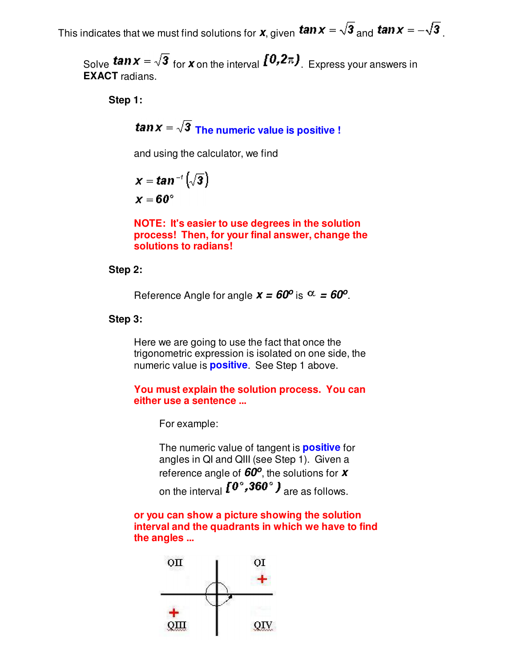This indicates that we must find solutions for  $x$ , given  $\tan x = \sqrt{3}$  and  $\tan x = -\sqrt{3}$ 

Solve **tan**  $x = \sqrt{3}$  for **x** on the interval  $\left[0, 2\pi\right)$ . Express your answers in **EXACT** radians.

**Step 1:**

**tan**  $x = \sqrt{3}$  The numeric value is positive !

and using the calculator, we find

$$
x = \tan^{-1} \left( \sqrt{3} \right)
$$

$$
x = 60^{\circ}
$$

**NOTE: It's easier to use degrees in the solution process! Then, for your final answer, change the solutions to radians!**

#### **Step 2:**

Reference Angle for angle  $x = 60^{\circ}$  is  $\alpha = 60^{\circ}$ .

#### **Step 3:**

Here we are going to use the fact that once the trigonometric expression is isolated on one side, the numeric value is **positive**. See Step 1 above.

#### **You must explain the solution process. You can either use a sentence ...**

For example:

The numeric value of tangent is **positive** for angles in QI and QIII (see Step 1). Given a reference angle of **60<sup>o</sup>** , the solutions for **x** on the interval  $I^{0^{\circ}, 360^{\circ}}$  are as follows.

**or you can show a picture showing the solution interval and the quadrants in which we have to find the angles ...**

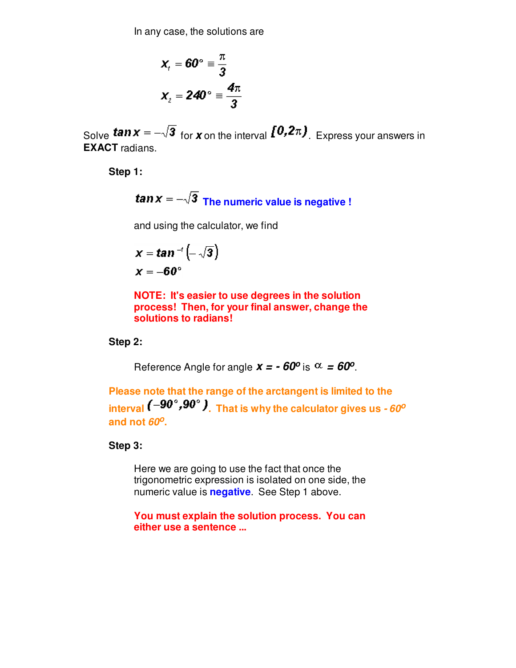In any case, the solutions are

$$
x_{i} = 60^{\circ} \equiv \frac{\pi}{3}
$$

$$
x_{2} = 240^{\circ} \equiv \frac{4\pi}{3}
$$

Solve **tan**  $x = -\sqrt{3}$  for **x** on the interval  $\left[0, 2\pi\right)$ . Express your answers in **EXACT** radians.

**Step 1:**

**tan**  $x = -\sqrt{3}$  The numeric value is negative !

and using the calculator, we find

$$
x = \tan^{-1}\left(-\sqrt{3}\right)
$$

$$
x = -60^{\circ}
$$

**NOTE: It's easier to use degrees in the solution process! Then, for your final answer, change the solutions to radians!**

#### **Step 2:**

Reference Angle for angle  $x = -60^\circ$  is  $\alpha = 60^\circ$ .

**Please note that the range of the arctangent is limited to the**  interval  $(-90^\circ, 90^\circ)$ . That is why the calculator gives us  $-60^\circ$ **and not 60<sup>o</sup> .**

#### **Step 3:**

Here we are going to use the fact that once the trigonometric expression is isolated on one side, the numeric value is **negative**. See Step 1 above.

**You must explain the solution process. You can either use a sentence ...**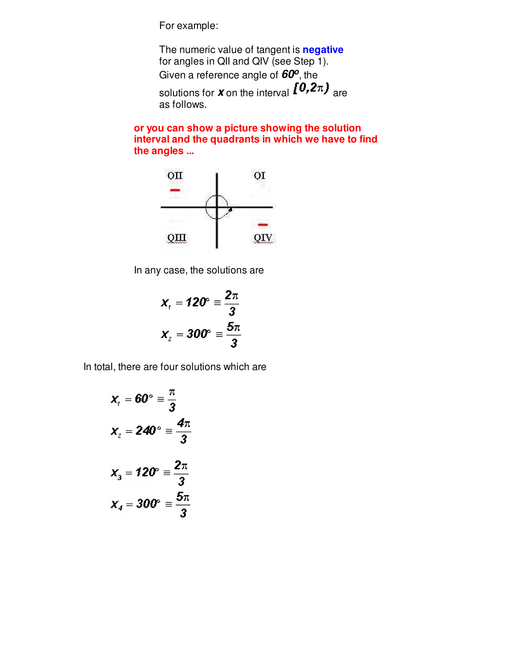For example:

The numeric value of tangent is **negative** for angles in QII and QIV (see Step 1). Given a reference angle of **60<sup>o</sup>** , the solutions for **x** on the interval  $[0,2\pi)$  are as follows.

**or you can show a picture showing the solution interval and the quadrants in which we have to find the angles ...**



In any case, the solutions are

$$
x_{1} = 120^{\circ} \equiv \frac{2\pi}{3}
$$

$$
x_{2} = 300^{\circ} \equiv \frac{5\pi}{3}
$$

In total, there are four solutions which are

$$
x_{1} = 60^{\circ} \equiv \frac{\pi}{3}
$$
\n
$$
x_{2} = 240^{\circ} \equiv \frac{4\pi}{3}
$$
\n
$$
x_{3} = 120^{\circ} \equiv \frac{2\pi}{3}
$$
\n
$$
x_{4} = 300^{\circ} \equiv \frac{5\pi}{3}
$$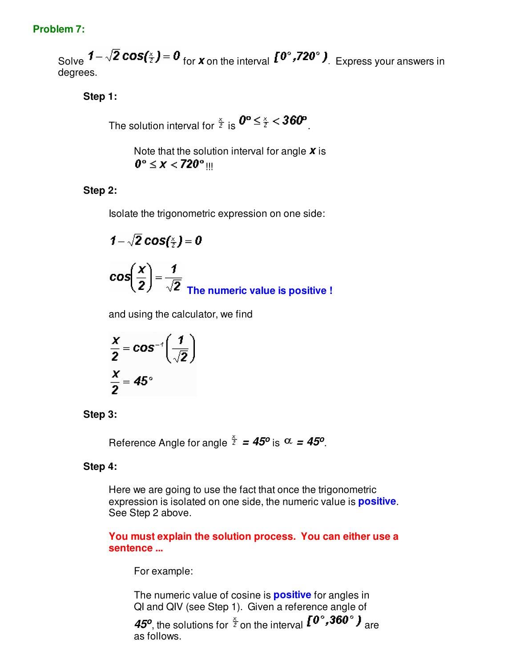### **Problem 7:**

Solve  $1-\sqrt{2}\cos(\frac{x}{2})=0$  for **x** on the interval  $I^{0^\circ},I^{20^\circ}$  ). Express your answers in degrees.

## **Step 1:**

The solution interval for  $\frac{x}{2}$  is  $0^\circ \leq \frac{x}{2} < 360^\circ$ 

Note that the solution interval for angle **x** is  $0^\circ \leq x < 720^\circ$  III

## **Step 2:**

Isolate the trigonometric expression on one side:

$$
1 - \sqrt{2} \cos(\frac{x}{2}) = 0
$$
  

$$
\cos\left(\frac{x}{2}\right) = \frac{1}{\sqrt{2}}
$$
  
The numeric value is positive !

and using the calculator, we find

$$
\frac{x}{2} = \cos^{-t}\left(\frac{1}{\sqrt{2}}\right)
$$

$$
\frac{x}{2} = 45^{\circ}
$$

#### **Step 3:**

Reference Angle for angle  $\frac{x}{2} = 45^{\circ}$  is  $\alpha = 45^{\circ}$ .

#### **Step 4:**

Here we are going to use the fact that once the trigonometric expression is isolated on one side, the numeric value is **positive**. See Step 2 above.

**You must explain the solution process. You can either use a sentence ...**

For example:

The numeric value of cosine is **positive** for angles in QI and QIV (see Step 1). Given a reference angle of

**45<sup>o</sup>**, the solutions for  $\frac{x}{2}$  on the interval  $\mathbf{I}^{\mathbf{0}}$ , **360**<sup>o</sup>  $\mathbf{J}$  are as follows.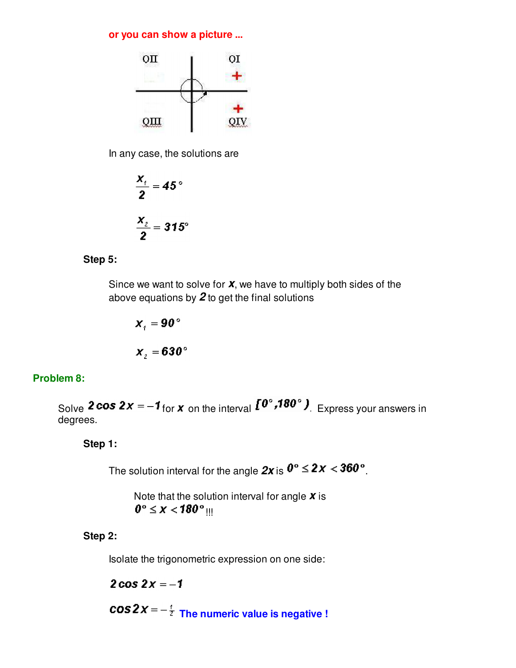#### **or you can show a picture ...**



In any case, the solutions are

$$
\frac{x_4}{2} = 45^\circ
$$

$$
\frac{x_2}{2} = 315^\circ
$$

#### **Step 5:**

Since we want to solve for **x**, we have to multiply both sides of the above equations by **2** to get the final solutions

$$
x_{i} = 90^{\circ}
$$

$$
x_{2} = 630^{\circ}
$$

#### **Problem 8:**

Solve **2 cos 2x** =  $-1$  for **x** on the interval  $\mathbf{I}^{\mathbf{0}^{\circ}}, \mathbf{180}^{\circ}$  ). Express your answers in degrees.

**Step 1:**

The solution interval for the angle  $2x$  is  $0^\circ \leq 2x < 360^\circ$ .

Note that the solution interval for angle **x** is  $0^\circ \leq x < 180^\circ$  !!!

#### **Step 2:**

Isolate the trigonometric expression on one side:

 $2 cos 2x = -1$ 

 $\cos 2x = -\frac{i}{z}$  The numeric value is negative !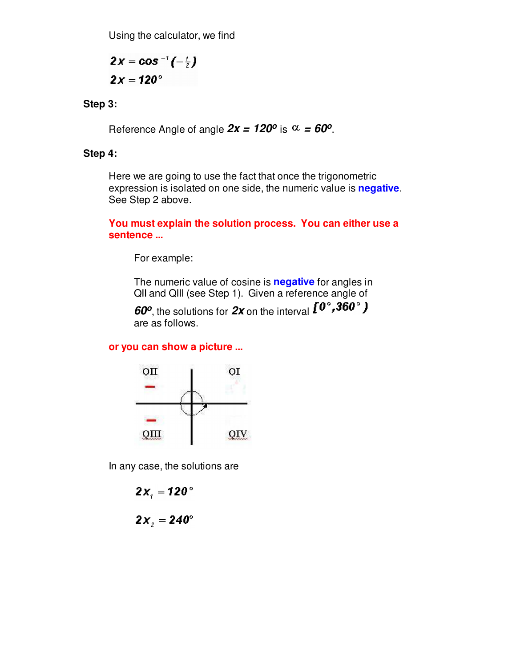Using the calculator, we find

 $2x = \cos^{-1}(-\frac{t}{x})$  $2x = 120^{\circ}$ 

**Step 3:**

Reference Angle of angle  $2x = 120^{\circ}$  is  $\alpha = 60^{\circ}$ .

#### **Step 4:**

Here we are going to use the fact that once the trigonometric expression is isolated on one side, the numeric value is **negative**. See Step 2 above.

**You must explain the solution process. You can either use a sentence ...**

For example:

The numeric value of cosine is **negative** for angles in QII and QIII (see Step 1). Given a reference angle of

**60<sup>o</sup>** , the solutions for **2x** on the interval are as follows.

#### **or you can show a picture ...**



In any case, the solutions are

 $2x_i = 120^\circ$ 

 $2x_{i} = 240^{\circ}$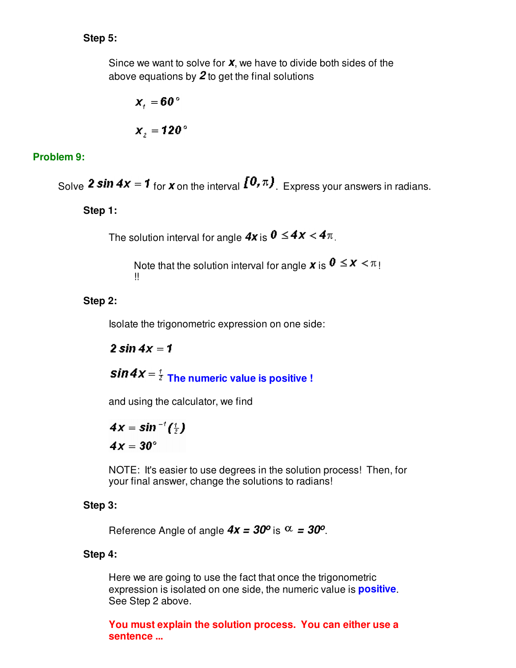## **Step 5:**

Since we want to solve for **x**, we have to divide both sides of the above equations by **2** to get the final solutions

$$
x_{1} = 60^{\circ}
$$

$$
x_{2} = 120^{\circ}
$$

## **Problem 9:**

Solve **2 sin 4x** = **1** for **x** on the interval  $\left[0, \pi\right)$ . Express your answers in radians.

**Step 1:**

The solution interval for angle  $4x$  is  $0 \leq 4x < 4\pi$ .

Note that the solution interval for angle **x** is  $0 \leq x < \pi$ ! !!

## **Step 2:**

Isolate the trigonometric expression on one side:

 $2 \sin 4x = 1$ 

 $\sin 4x = \frac{1}{2}$  The numeric value is positive !

and using the calculator, we find

$$
4x = \sin^{-1}(\frac{t}{2})
$$

$$
4x = 30^{\circ}
$$

NOTE: It's easier to use degrees in the solution process! Then, for your final answer, change the solutions to radians!

#### **Step 3:**

Reference Angle of angle  $4x = 30^{\circ}$  is  $\alpha = 30^{\circ}$ .

#### **Step 4:**

Here we are going to use the fact that once the trigonometric expression is isolated on one side, the numeric value is **positive**. See Step 2 above.

**You must explain the solution process. You can either use a sentence ...**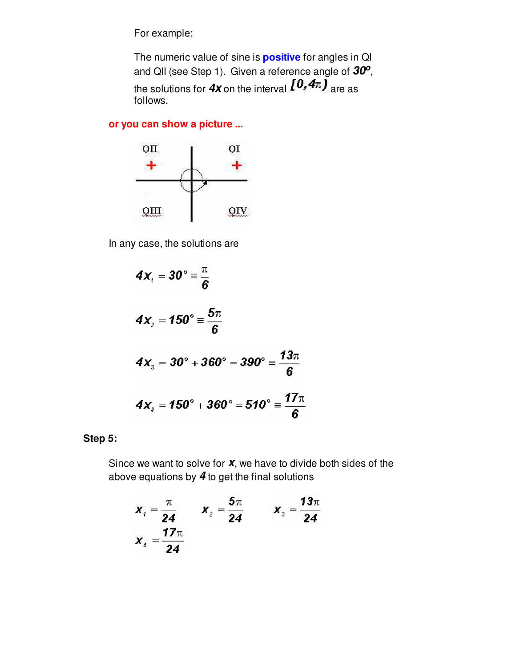For example:

The numeric value of sine is **positive** for angles in QI and QII (see Step 1). Given a reference angle of **30<sup>o</sup>** , the solutions for  $4x$  on the interval  $\left[0,4\pi\right)$  are as follows.

## **or you can show a picture ...**



In any case, the solutions are

$$
4x_1 = 30^\circ \equiv \frac{\pi}{6}
$$
  
\n
$$
4x_2 = 150^\circ \equiv \frac{5\pi}{6}
$$
  
\n
$$
4x_3 = 30^\circ + 360^\circ = 390^\circ \equiv \frac{13\pi}{6}
$$
  
\n
$$
4x_4 = 150^\circ + 360^\circ = 510^\circ \equiv \frac{17\pi}{6}
$$

**Step 5:**

Since we want to solve for **x**, we have to divide both sides of the above equations by **4** to get the final solutions

$$
x_{1} = \frac{\pi}{24} \qquad x_{2} = \frac{5\pi}{24} \qquad x_{3} = \frac{13\pi}{24}
$$

$$
x_{4} = \frac{17\pi}{24}
$$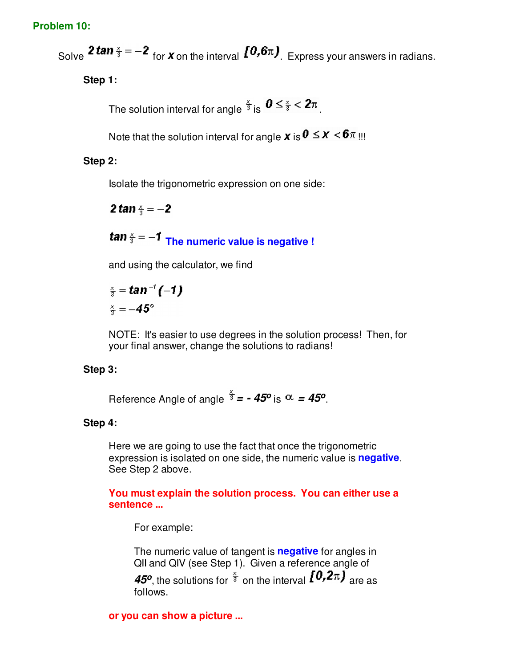#### **Problem 10:**

Solve **2 tan**  $\frac{x}{3} = -2$  for **x** on the interval  $[0, 6\pi]$ . Express your answers in radians.

**Step 1:**

The solution interval for angle  $\frac{x}{3}$  is  $0 \leq \frac{x}{3} < 2\pi$ 

Note that the solution interval for angle **x** is  $0 \leq x < 6\pi$  !!!

### **Step 2:**

Isolate the trigonometric expression on one side:

**2 tan**  $\frac{x}{2} = -2$ 

*Tan* $\frac{x}{3} = -1$  The numeric value is negative !

and using the calculator, we find

$$
\frac{x}{3} = \tan^{-1}(-1)
$$
  

$$
\frac{x}{3} = -45^{\circ}
$$

NOTE: It's easier to use degrees in the solution process! Then, for your final answer, change the solutions to radians!

#### **Step 3:**

Reference Angle of angle  $\frac{\partial}{\partial t}$  =  $\cdot$  45<sup>o</sup> is  $\alpha$  = 45<sup>o</sup>.

#### **Step 4:**

Here we are going to use the fact that once the trigonometric expression is isolated on one side, the numeric value is **negative**. See Step 2 above.

**You must explain the solution process. You can either use a sentence ...**

For example:

The numeric value of tangent is **negative** for angles in QII and QIV (see Step 1). Given a reference angle of **45<sup>o</sup>**, the solutions for  $\frac{2}{3}$  on the interval  $I^{U,Z\pi}$  are as follows.

#### **or you can show a picture ...**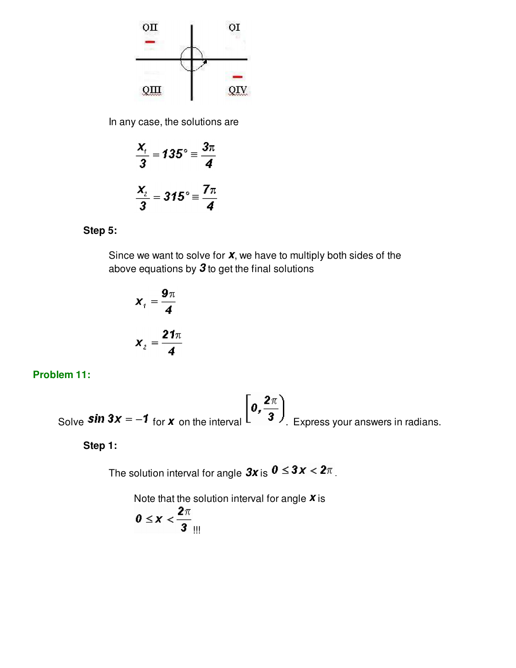

In any case, the solutions are

$$
\frac{x_1}{3} = 135^\circ \equiv \frac{3\pi}{4}
$$

$$
\frac{x_2}{3} = 315^\circ \equiv \frac{7\pi}{4}
$$

#### **Step 5:**

Since we want to solve for **x**, we have to multiply both sides of the above equations by **3** to get the final solutions

$$
x_i = \frac{9\pi}{4}
$$

$$
x_i = \frac{21\pi}{4}
$$

**Problem 11:**

Solve **Sin 3x** = -1 for **x** on the interval  $\left[0, \frac{2\pi}{3}\right)$ . Express your answers in radians.

**Step 1:**

The solution interval for angle  $3x$  is  $0 \leq 3x < 2\pi$ .

Note that the solution interval for angle **x** is

$$
0\leq x<\frac{2\pi}{3}
$$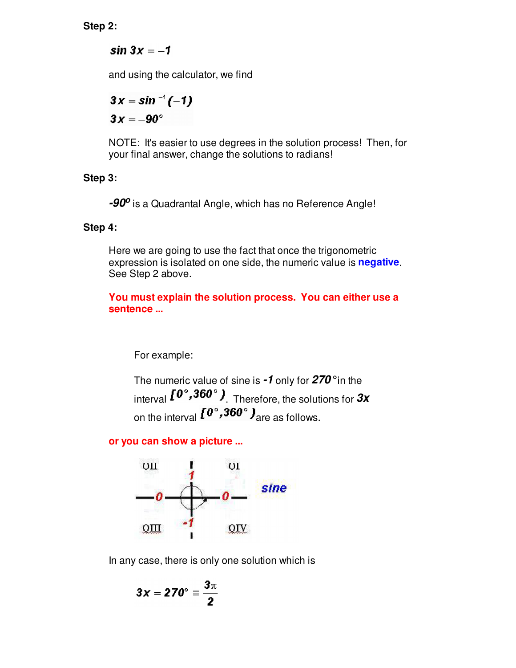**Step 2:**

 $sin 3x = -1$ 

and using the calculator, we find

$$
3x = \sin^{-t}(-1)
$$

$$
3x = -90^{\circ}
$$

NOTE: It's easier to use degrees in the solution process! Then, for your final answer, change the solutions to radians!

## **Step 3:**

**-90<sup>o</sup>** is a Quadrantal Angle, which has no Reference Angle!

## **Step 4:**

Here we are going to use the fact that once the trigonometric expression is isolated on one side, the numeric value is **negative**. See Step 2 above.

**You must explain the solution process. You can either use a sentence ...**

For example:

The numeric value of sine is **-1** only for **270°** in the interval  $[0^\circ, 360^\circ]$ <sub>. Therefore, the solutions for</sub> 3x on the interval  $I^{0^{\circ}, 360^{\circ}}$  are as follows.

## **or you can show a picture ...**



In any case, there is only one solution which is

$$
3x = 270^{\circ} \equiv \frac{3\pi}{2}
$$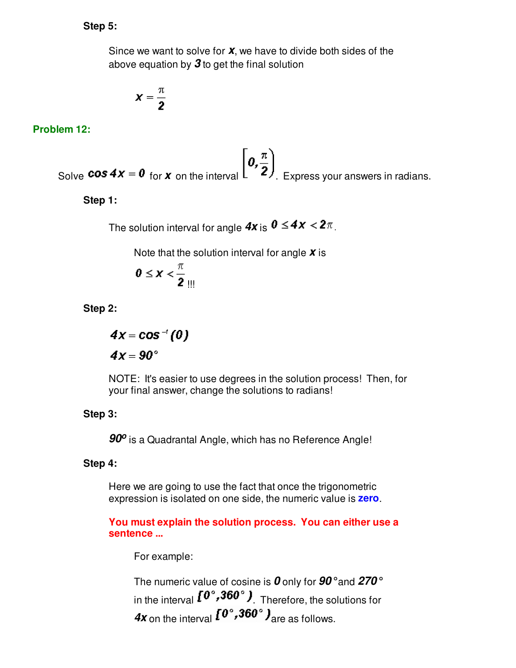#### **Step 5:**

Since we want to solve for **x**, we have to divide both sides of the above equation by **3** to get the final solution

$$
\pmb{\chi}=\frac{\pi}{2}
$$

#### **Problem 12:**

Solve **cos 4x** = 0 for **x** on the interval  $\left[0, \frac{\pi}{2}\right)$ . Express your answers in radians.

**Step 1:**

The solution interval for angle  $4x$  is  $0 \leq 4x < 2\pi$ .

Note that the solution interval for angle **x** is

$$
0\leq x<\frac{\pi}{2}
$$

**Step 2:**

$$
4x = \cos^{-1}(0)
$$
  

$$
4x = 90^{\circ}
$$

NOTE: It's easier to use degrees in the solution process! Then, for your final answer, change the solutions to radians!

#### **Step 3:**

**90<sup>o</sup>** is a Quadrantal Angle, which has no Reference Angle!

#### **Step 4:**

Here we are going to use the fact that once the trigonometric expression is isolated on one side, the numeric value is **zero**.

**You must explain the solution process. You can either use a sentence ...**

For example:

The numeric value of cosine is **0** only for **90°** and **270°** in the interval  $I^{0^{\circ}, 360^{\circ}}$ ). Therefore, the solutions for **4x** on the interval  $I^{\mathbf{0}^\circ}$ , **360**°  $J_{\text{are}}$  as follows.